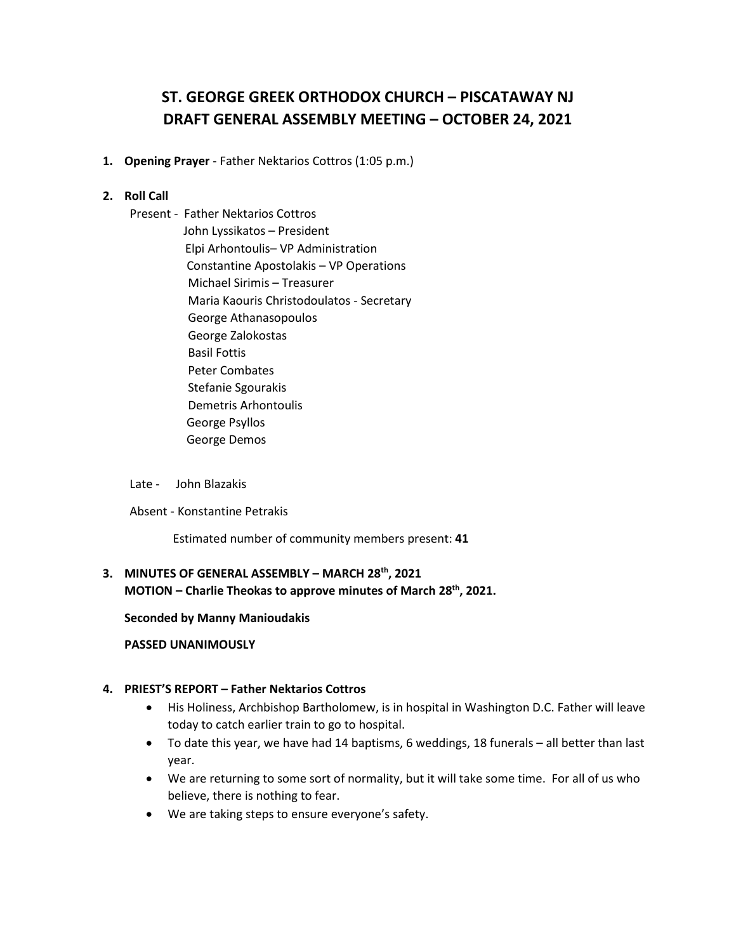# **ST. GEORGE GREEK ORTHODOX CHURCH – PISCATAWAY NJ DRAFT GENERAL ASSEMBLY MEETING – OCTOBER 24, 2021**

**1. Opening Prayer** - Father Nektarios Cottros (1:05 p.m.)

## **2. Roll Call**

Present - Father Nektarios Cottros John Lyssikatos – President Elpi Arhontoulis– VP Administration Constantine Apostolakis – VP Operations Michael Sirimis – Treasurer Maria Kaouris Christodoulatos - Secretary George Athanasopoulos George Zalokostas Basil Fottis Peter Combates Stefanie Sgourakis Demetris Arhontoulis George Psyllos George Demos

#### Late - John Blazakis

Absent - Konstantine Petrakis

Estimated number of community members present: **41**

# **3. MINUTES OF GENERAL ASSEMBLY – MARCH 28th, 2021 MOTION – Charlie Theokas to approve minutes of March 28th, 2021.**

#### **Seconded by Manny Manioudakis**

#### **PASSED UNANIMOUSLY**

## **4. PRIEST'S REPORT – Father Nektarios Cottros**

- His Holiness, Archbishop Bartholomew, is in hospital in Washington D.C. Father will leave today to catch earlier train to go to hospital.
- To date this year, we have had 14 baptisms, 6 weddings, 18 funerals all better than last year.
- We are returning to some sort of normality, but it will take some time. For all of us who believe, there is nothing to fear.
- We are taking steps to ensure everyone's safety.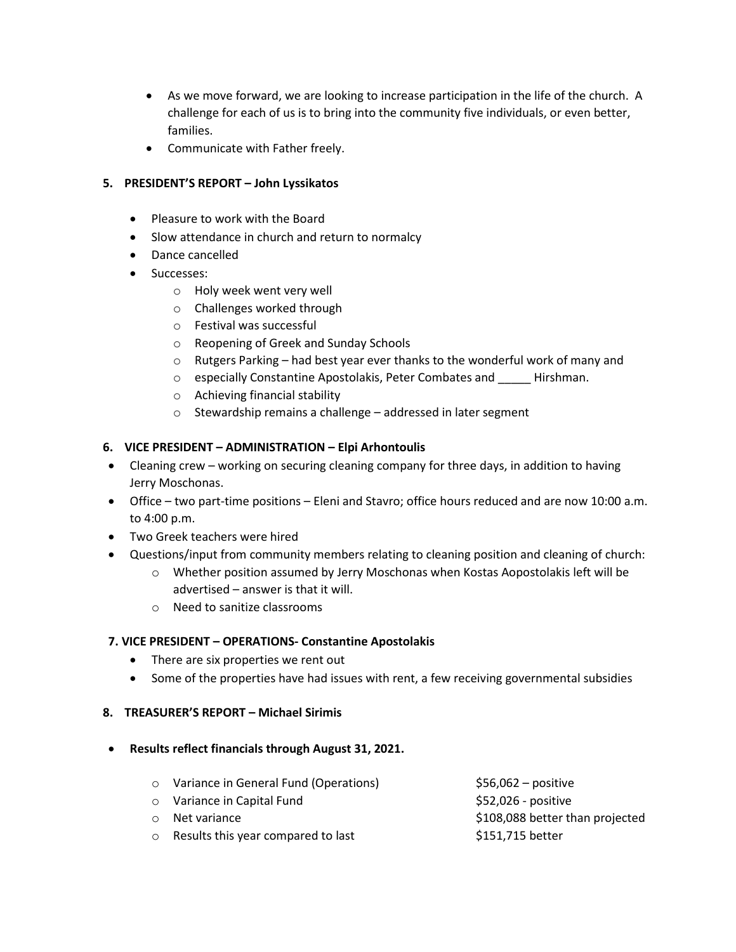- As we move forward, we are looking to increase participation in the life of the church. A challenge for each of us is to bring into the community five individuals, or even better, families.
- Communicate with Father freely.

# **5. PRESIDENT'S REPORT – John Lyssikatos**

- Pleasure to work with the Board
- Slow attendance in church and return to normalcy
- Dance cancelled
- Successes:
	- o Holy week went very well
	- o Challenges worked through
	- o Festival was successful
	- o Reopening of Greek and Sunday Schools
	- o Rutgers Parking had best year ever thanks to the wonderful work of many and
	- o especially Constantine Apostolakis, Peter Combates and \_\_\_\_\_ Hirshman.
	- o Achieving financial stability
	- o Stewardship remains a challenge addressed in later segment

# **6. VICE PRESIDENT – ADMINISTRATION – Elpi Arhontoulis**

- Cleaning crew working on securing cleaning company for three days, in addition to having Jerry Moschonas.
- Office two part-time positions Eleni and Stavro; office hours reduced and are now 10:00 a.m. to 4:00 p.m.
- Two Greek teachers were hired
- Questions/input from community members relating to cleaning position and cleaning of church:
	- o Whether position assumed by Jerry Moschonas when Kostas Aopostolakis left will be advertised – answer is that it will.
	- o Need to sanitize classrooms

# **7. VICE PRESIDENT – OPERATIONS- Constantine Apostolakis**

- There are six properties we rent out
- Some of the properties have had issues with rent, a few receiving governmental subsidies

# **8. TREASURER'S REPORT – Michael Sirimis**

## • **Results reflect financials through August 31, 2021.**

o Variance in General Fund (Operations) \$56,062 – positive o Variance in Capital Fund **by Capital State 1** (See State 1952,026 - positive o Net variance **business and the Contract State of the S108,088** better than projected o Results this year compared to last \$151,715 better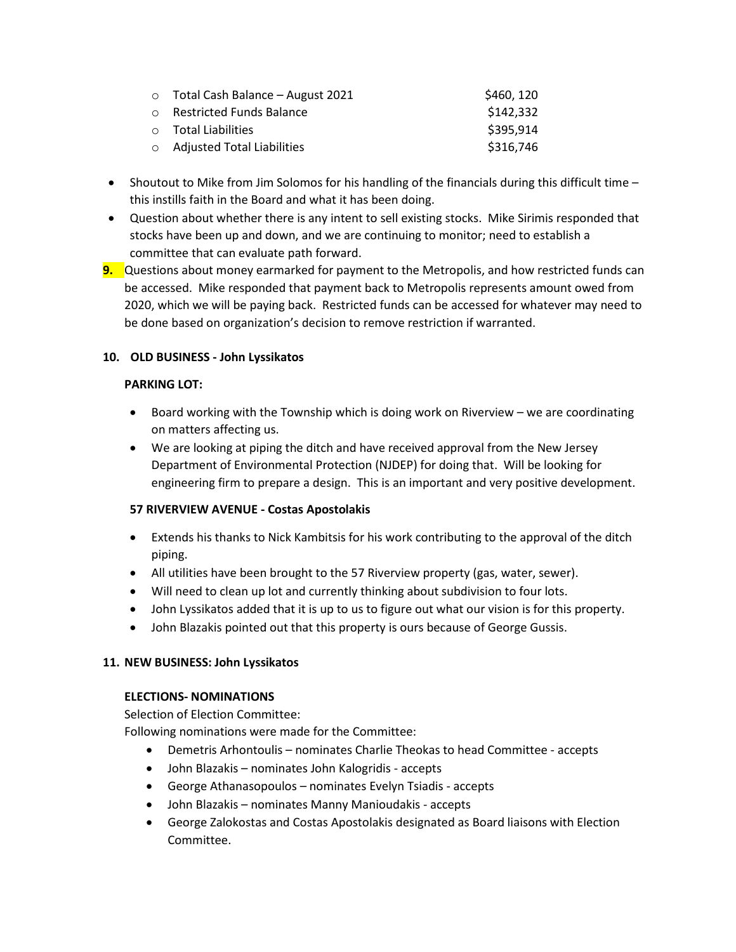| $\circ$ Total Cash Balance - August 2021 | \$460, 120 |
|------------------------------------------|------------|
| ○ Restricted Funds Balance               | \$142,332  |
| $\circ$ Total Liabilities                | \$395,914  |
| $\circ$ Adjusted Total Liabilities       | \$316,746  |

- Shoutout to Mike from Jim Solomos for his handling of the financials during this difficult time this instills faith in the Board and what it has been doing.
- Question about whether there is any intent to sell existing stocks. Mike Sirimis responded that stocks have been up and down, and we are continuing to monitor; need to establish a committee that can evaluate path forward.
- **9.** Questions about money earmarked for payment to the Metropolis, and how restricted funds can be accessed. Mike responded that payment back to Metropolis represents amount owed from 2020, which we will be paying back. Restricted funds can be accessed for whatever may need to be done based on organization's decision to remove restriction if warranted.

# **10. OLD BUSINESS - John Lyssikatos**

## **PARKING LOT:**

- Board working with the Township which is doing work on Riverview we are coordinating on matters affecting us.
- We are looking at piping the ditch and have received approval from the New Jersey Department of Environmental Protection (NJDEP) for doing that. Will be looking for engineering firm to prepare a design. This is an important and very positive development.

# **57 RIVERVIEW AVENUE - Costas Apostolakis**

- Extends his thanks to Nick Kambitsis for his work contributing to the approval of the ditch piping.
- All utilities have been brought to the 57 Riverview property (gas, water, sewer).
- Will need to clean up lot and currently thinking about subdivision to four lots.
- John Lyssikatos added that it is up to us to figure out what our vision is for this property.
- John Blazakis pointed out that this property is ours because of George Gussis.

# **11. NEW BUSINESS: John Lyssikatos**

## **ELECTIONS- NOMINATIONS**

Selection of Election Committee:

Following nominations were made for the Committee:

- Demetris Arhontoulis nominates Charlie Theokas to head Committee accepts
- John Blazakis nominates John Kalogridis accepts
- George Athanasopoulos nominates Evelyn Tsiadis accepts
- John Blazakis nominates Manny Manioudakis accepts
- George Zalokostas and Costas Apostolakis designated as Board liaisons with Election Committee.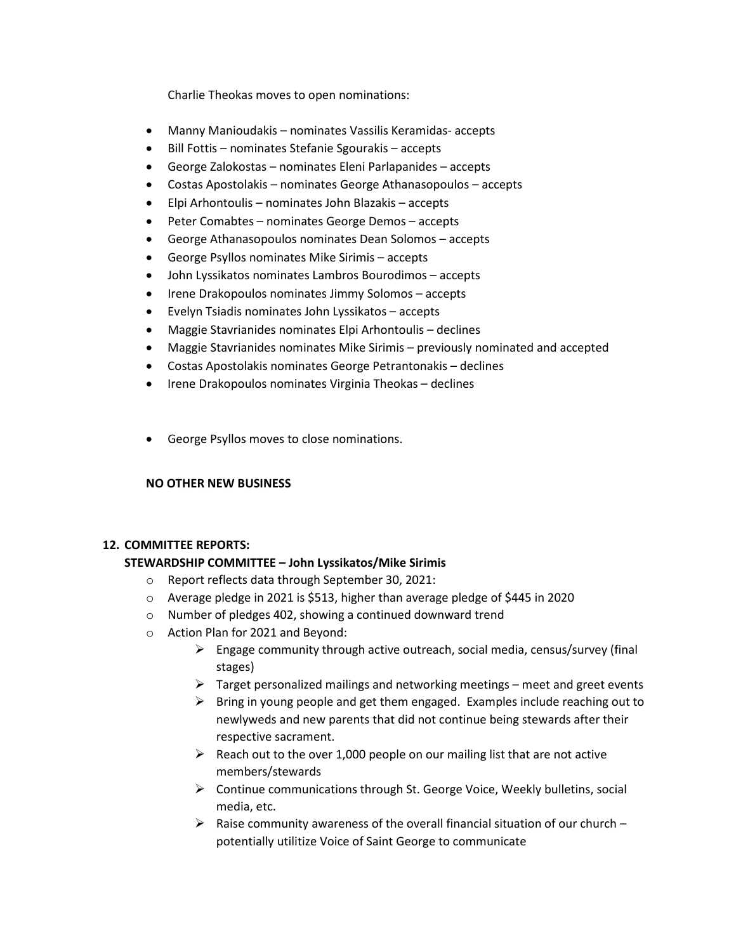Charlie Theokas moves to open nominations:

- Manny Manioudakis nominates Vassilis Keramidas- accepts
- Bill Fottis nominates Stefanie Sgourakis accepts
- George Zalokostas nominates Eleni Parlapanides accepts
- Costas Apostolakis nominates George Athanasopoulos accepts
- Elpi Arhontoulis nominates John Blazakis accepts
- Peter Comabtes nominates George Demos accepts
- George Athanasopoulos nominates Dean Solomos accepts
- George Psyllos nominates Mike Sirimis accepts
- John Lyssikatos nominates Lambros Bourodimos accepts
- Irene Drakopoulos nominates Jimmy Solomos accepts
- Evelyn Tsiadis nominates John Lyssikatos accepts
- Maggie Stavrianides nominates Elpi Arhontoulis declines
- Maggie Stavrianides nominates Mike Sirimis previously nominated and accepted
- Costas Apostolakis nominates George Petrantonakis declines
- Irene Drakopoulos nominates Virginia Theokas declines
- George Psyllos moves to close nominations.

## **NO OTHER NEW BUSINESS**

## **12. COMMITTEE REPORTS:**

## **STEWARDSHIP COMMITTEE – John Lyssikatos/Mike Sirimis**

- o Report reflects data through September 30, 2021:
- $\circ$  Average pledge in 2021 is \$513, higher than average pledge of \$445 in 2020
- o Number of pledges 402, showing a continued downward trend
- o Action Plan for 2021 and Beyond:
	- $\triangleright$  Engage community through active outreach, social media, census/survey (final stages)
	- $\triangleright$  Target personalized mailings and networking meetings meet and greet events
	- $\triangleright$  Bring in young people and get them engaged. Examples include reaching out to newlyweds and new parents that did not continue being stewards after their respective sacrament.
	- $\triangleright$  Reach out to the over 1,000 people on our mailing list that are not active members/stewards
	- Continue communications through St. George Voice, Weekly bulletins, social media, etc.
	- $\triangleright$  Raise community awareness of the overall financial situation of our church potentially utilitize Voice of Saint George to communicate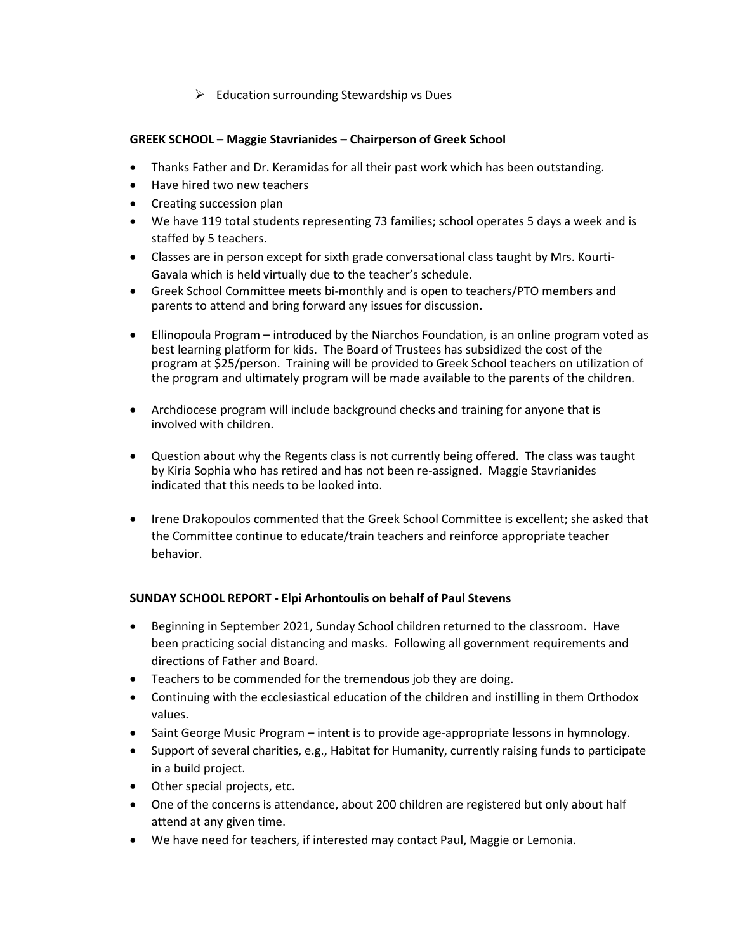$\triangleright$  Education surrounding Stewardship vs Dues

## **GREEK SCHOOL – Maggie Stavrianides – Chairperson of Greek School**

- Thanks Father and Dr. Keramidas for all their past work which has been outstanding.
- Have hired two new teachers
- Creating succession plan
- We have 119 total students representing 73 families; school operates 5 days a week and is staffed by 5 teachers.
- Classes are in person except for sixth grade conversational class taught by Mrs. Kourti-Gavala which is held virtually due to the teacher's schedule.
- Greek School Committee meets bi-monthly and is open to teachers/PTO members and parents to attend and bring forward any issues for discussion.
- Ellinopoula Program introduced by the Niarchos Foundation, is an online program voted as best learning platform for kids. The Board of Trustees has subsidized the cost of the program at \$25/person. Training will be provided to Greek School teachers on utilization of the program and ultimately program will be made available to the parents of the children.
- Archdiocese program will include background checks and training for anyone that is involved with children.
- Question about why the Regents class is not currently being offered. The class was taught by Kiria Sophia who has retired and has not been re-assigned. Maggie Stavrianides indicated that this needs to be looked into.
- Irene Drakopoulos commented that the Greek School Committee is excellent; she asked that the Committee continue to educate/train teachers and reinforce appropriate teacher behavior.

# **SUNDAY SCHOOL REPORT - Elpi Arhontoulis on behalf of Paul Stevens**

- Beginning in September 2021, Sunday School children returned to the classroom. Have been practicing social distancing and masks. Following all government requirements and directions of Father and Board.
- Teachers to be commended for the tremendous job they are doing.
- Continuing with the ecclesiastical education of the children and instilling in them Orthodox values.
- Saint George Music Program intent is to provide age-appropriate lessons in hymnology.
- Support of several charities, e.g., Habitat for Humanity, currently raising funds to participate in a build project.
- Other special projects, etc.
- One of the concerns is attendance, about 200 children are registered but only about half attend at any given time.
- We have need for teachers, if interested may contact Paul, Maggie or Lemonia.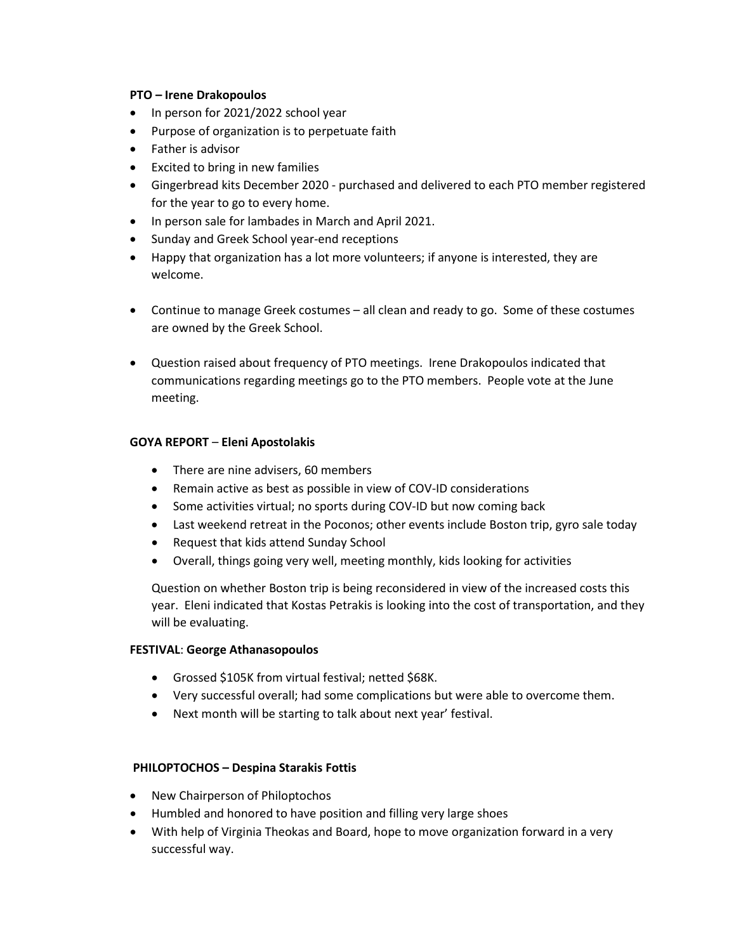## **PTO – Irene Drakopoulos**

- In person for 2021/2022 school year
- Purpose of organization is to perpetuate faith
- Father is advisor
- Excited to bring in new families
- Gingerbread kits December 2020 purchased and delivered to each PTO member registered for the year to go to every home.
- In person sale for lambades in March and April 2021.
- Sunday and Greek School year-end receptions
- Happy that organization has a lot more volunteers; if anyone is interested, they are welcome.
- Continue to manage Greek costumes all clean and ready to go. Some of these costumes are owned by the Greek School.
- Question raised about frequency of PTO meetings. Irene Drakopoulos indicated that communications regarding meetings go to the PTO members. People vote at the June meeting.

## **GOYA REPORT** – **Eleni Apostolakis**

- There are nine advisers, 60 members
- Remain active as best as possible in view of COV-ID considerations
- Some activities virtual; no sports during COV-ID but now coming back
- Last weekend retreat in the Poconos; other events include Boston trip, gyro sale today
- Request that kids attend Sunday School
- Overall, things going very well, meeting monthly, kids looking for activities

Question on whether Boston trip is being reconsidered in view of the increased costs this year. Eleni indicated that Kostas Petrakis is looking into the cost of transportation, and they will be evaluating.

## **FESTIVAL**: **George Athanasopoulos**

- Grossed \$105K from virtual festival; netted \$68K.
- Very successful overall; had some complications but were able to overcome them.
- Next month will be starting to talk about next year' festival.

## **PHILOPTOCHOS – Despina Starakis Fottis**

- New Chairperson of Philoptochos
- Humbled and honored to have position and filling very large shoes
- With help of Virginia Theokas and Board, hope to move organization forward in a very successful way.